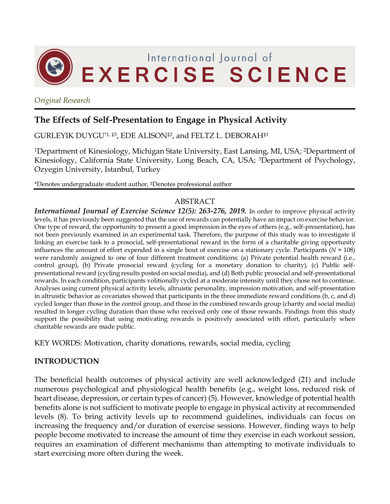

*Original Research*

# **The Effects of Self-Presentation to Engage in Physical Activity**

GURLEYIK DUYGU\*1, ‡3, EDE ALISON‡2, and FELTZ L. DEBORAH‡1

1Department of Kinesiology, Michigan State University, East Lansing, MI, USA; 2Department of Kinesiology, California State University, Long Beach, CA, USA; 3Department of Psychology, Ozyegin University, Istanbul, Turkey

\*Denotes undergraduate student author, ‡Denotes professional author

## ABSTRACT

*International Journal of Exercise Science 12(5): 263-276, 2019.* In order to improve physical activity levels, it has previously been suggested that the use of rewards can potentially have an impact on exercise behavior. One type of reward, the opportunity to present a good impression in the eyes of others (e.g., self-presentation), has not been previously examined in an experimental task. Therefore, the purpose of this study was to investigate if linking an exercise task to a prosocial, self-presentational reward in the form of a charitable giving opportunity influences the amount of effort expended in a single bout of exercise on a stationary cycle. Participants (*N =* 108) were randomly assigned to one of four different treatment conditions: (a) Private potential health reward (i.e., control group), (b) Private prosocial reward (cycling for a monetary donation to charity), (c) Public selfpresentational reward (cycling results posted on social media), and (d) Both public prosocial and self-presentational rewards. In each condition, participants volitionally cycled at a moderate intensity until they chose not to continue. Analyses using current physical activity levels, altruistic personality, impression motivation, and self-presentation in altruistic behavior as covariates showed that participants in the three immediate reward conditions (b, c, and d) cycled longer than those in the control group, and those in the combined rewards group (charity and social media) resulted in longer cycling duration than those who received only one of those rewards. Findings from this study support the possibility that using motivating rewards is positively associated with effort, particularly when charitable rewards are made public.

KEY WORDS: Motivation, charity donations, rewards, social media, cycling

## **INTRODUCTION**

The beneficial health outcomes of physical activity are well acknowledged (21) and include numerous psychological and physiological health benefits (e.g., weight loss, reduced risk of heart disease, depression, or certain types of cancer) (5). However, knowledge of potential health benefits alone is not sufficient to motivate people to engage in physical activity at recommended levels (8). To bring activity levels up to recommend guidelines, individuals can focus on increasing the frequency and/or duration of exercise sessions. However, finding ways to help people become motivated to increase the amount of time they exercise in each workout session, requires an examination of different mechanisms than attempting to motivate individuals to start exercising more often during the week.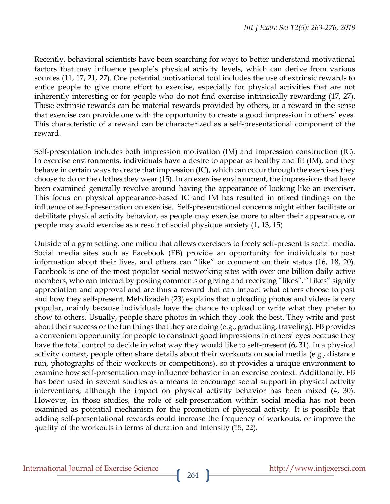Recently, behavioral scientists have been searching for ways to better understand motivational factors that may influence people's physical activity levels, which can derive from various sources (11, 17, 21, 27). One potential motivational tool includes the use of extrinsic rewards to entice people to give more effort to exercise, especially for physical activities that are not inherently interesting or for people who do not find exercise intrinsically rewarding (17, 27). These extrinsic rewards can be material rewards provided by others, or a reward in the sense that exercise can provide one with the opportunity to create a good impression in others' eyes. This characteristic of a reward can be characterized as a self-presentational component of the reward.

Self-presentation includes both impression motivation (IM) and impression construction (IC). In exercise environments, individuals have a desire to appear as healthy and fit (IM), and they behave in certain ways to create that impression (IC), which can occur through the exercises they choose to do or the clothes they wear (15). In an exercise environment, the impressions that have been examined generally revolve around having the appearance of looking like an exerciser. This focus on physical appearance-based IC and IM has resulted in mixed findings on the influence of self-presentation on exercise. Self-presentational concerns might either facilitate or debilitate physical activity behavior, as people may exercise more to alter their appearance, or people may avoid exercise as a result of social physique anxiety (1, 13, 15).

Outside of a gym setting, one milieu that allows exercisers to freely self-present is social media. Social media sites such as Facebook (FB) provide an opportunity for individuals to post information about their lives, and others can "like" or comment on their status (16, 18, 20). Facebook is one of the most popular social networking sites with over one billion daily active members, who can interact by posting comments or giving and receiving "likes". "Likes" signify appreciation and approval and are thus a reward that can impact what others choose to post and how they self-present. Mehdizadeh (23) explains that uploading photos and videos is very popular, mainly because individuals have the chance to upload or write what they prefer to show to others. Usually, people share photos in which they look the best. They write and post about their success or the fun things that they are doing (e.g., graduating, traveling). FB provides a convenient opportunity for people to construct good impressions in others' eyes because they have the total control to decide in what way they would like to self-present (6, 31). In a physical activity context, people often share details about their workouts on social media (e.g., distance run, photographs of their workouts or competitions), so it provides a unique environment to examine how self-presentation may influence behavior in an exercise context. Additionally, FB has been used in several studies as a means to encourage social support in physical activity interventions, although the impact on physical activity behavior has been mixed (4, 30). However, in those studies, the role of self-presentation within social media has not been examined as potential mechanism for the promotion of physical activity. It is possible that adding self-presentational rewards could increase the frequency of workouts, or improve the quality of the workouts in terms of duration and intensity (15, 22).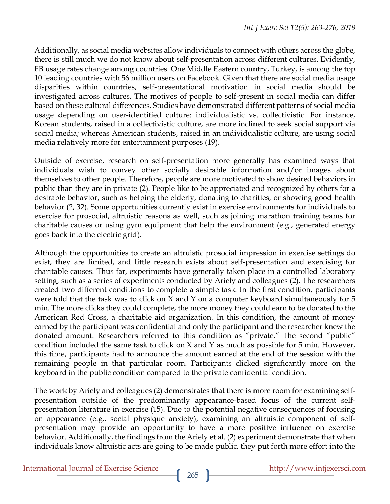Additionally, as social media websites allow individuals to connect with others across the globe, there is still much we do not know about self-presentation across different cultures. Evidently, FB usage rates change among countries. One Middle Eastern country, Turkey, is among the top 10 leading countries with 56 million users on Facebook. Given that there are social media usage disparities within countries, self-presentational motivation in social media should be investigated across cultures. The motives of people to self-present in social media can differ based on these cultural differences. Studies have demonstrated different patterns of social media usage depending on user-identified culture: individualistic vs. collectivistic. For instance, Korean students, raised in a collectivistic culture, are more inclined to seek social support via social media; whereas American students, raised in an individualistic culture, are using social media relatively more for entertainment purposes (19).

Outside of exercise, research on self-presentation more generally has examined ways that individuals wish to convey other socially desirable information and/or images about themselves to other people. Therefore, people are more motivated to show desired behaviors in public than they are in private (2). People like to be appreciated and recognized by others for a desirable behavior, such as helping the elderly, donating to charities, or showing good health behavior (2, 32). Some opportunities currently exist in exercise environments for individuals to exercise for prosocial, altruistic reasons as well, such as joining marathon training teams for charitable causes or using gym equipment that help the environment (e.g., generated energy goes back into the electric grid).

Although the opportunities to create an altruistic prosocial impression in exercise settings do exist, they are limited, and little research exists about self-presentation and exercising for charitable causes. Thus far, experiments have generally taken place in a controlled laboratory setting, such as a series of experiments conducted by Ariely and colleagues (2). The researchers created two different conditions to complete a simple task. In the first condition, participants were told that the task was to click on X and Y on a computer keyboard simultaneously for 5 min. The more clicks they could complete, the more money they could earn to be donated to the American Red Cross, a charitable aid organization. In this condition, the amount of money earned by the participant was confidential and only the participant and the researcher knew the donated amount. Researchers referred to this condition as "private." The second "public" condition included the same task to click on X and Y as much as possible for 5 min. However, this time, participants had to announce the amount earned at the end of the session with the remaining people in that particular room. Participants clicked significantly more on the keyboard in the public condition compared to the private confidential condition.

The work by Ariely and colleagues (2) demonstrates that there is more room for examining selfpresentation outside of the predominantly appearance-based focus of the current selfpresentation literature in exercise (15). Due to the potential negative consequences of focusing on appearance (e.g., social physique anxiety), examining an altruistic component of selfpresentation may provide an opportunity to have a more positive influence on exercise behavior. Additionally, the findings from the Ariely et al. (2) experiment demonstrate that when individuals know altruistic acts are going to be made public, they put forth more effort into the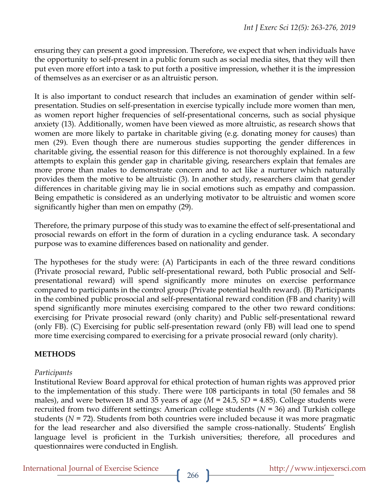ensuring they can present a good impression. Therefore, we expect that when individuals have the opportunity to self-present in a public forum such as social media sites, that they will then put even more effort into a task to put forth a positive impression, whether it is the impression of themselves as an exerciser or as an altruistic person.

It is also important to conduct research that includes an examination of gender within selfpresentation. Studies on self-presentation in exercise typically include more women than men, as women report higher frequencies of self-presentational concerns, such as social physique anxiety (13). Additionally, women have been viewed as more altruistic, as research shows that women are more likely to partake in charitable giving (e.g. donating money for causes) than men (29). Even though there are numerous studies supporting the gender differences in charitable giving, the essential reason for this difference is not thoroughly explained. In a few attempts to explain this gender gap in charitable giving, researchers explain that females are more prone than males to demonstrate concern and to act like a nurturer which naturally provides them the motive to be altruistic (3). In another study, researchers claim that gender differences in charitable giving may lie in social emotions such as empathy and compassion. Being empathetic is considered as an underlying motivator to be altruistic and women score significantly higher than men on empathy (29).

Therefore, the primary purpose of this study was to examine the effect of self-presentational and prosocial rewards on effort in the form of duration in a cycling endurance task. A secondary purpose was to examine differences based on nationality and gender.

The hypotheses for the study were: (A) Participants in each of the three reward conditions (Private prosocial reward, Public self-presentational reward, both Public prosocial and Selfpresentational reward) will spend significantly more minutes on exercise performance compared to participants in the control group (Private potential health reward). (B) Participants in the combined public prosocial and self-presentational reward condition (FB and charity) will spend significantly more minutes exercising compared to the other two reward conditions: exercising for Private prosocial reward (only charity) and Public self-presentational reward (only FB). (C) Exercising for public self-presentation reward (only FB) will lead one to spend more time exercising compared to exercising for a private prosocial reward (only charity).

## **METHODS**

### *Participants*

Institutional Review Board approval for ethical protection of human rights was approved prior to the implementation of this study. There were 108 participants in total (50 females and 58 males), and were between 18 and 35 years of age (*M* = 24.5, *SD* = 4.85). College students were recruited from two different settings: American college students (*N* = 36) and Turkish college students (*N* = 72). Students from both countries were included because it was more pragmatic for the lead researcher and also diversified the sample cross-nationally. Students' English language level is proficient in the Turkish universities; therefore, all procedures and questionnaires were conducted in English.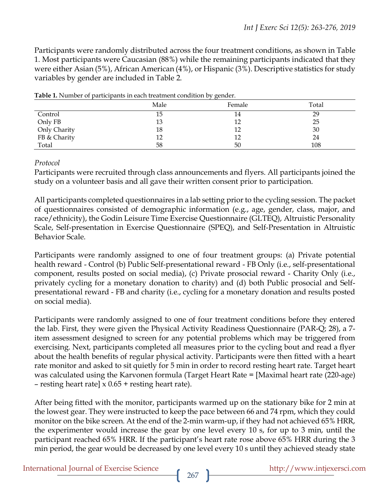Participants were randomly distributed across the four treatment conditions, as shown in Table 1. Most participants were Caucasian (88%) while the remaining participants indicated that they were either Asian (5%), African American (4%), or Hispanic (3%). Descriptive statistics for study variables by gender are included in Table 2.

|              | Male | Female | Total |
|--------------|------|--------|-------|
| Control      | 15   | 14     | 29    |
| Only FB      | 13   |        | 25    |
| Only Charity | 18   |        | 30    |
| FB & Charity | 12   | 12     | 24    |
| Total        | 58   | 50     | 108   |

**Table 1.** Number of participants in each treatment condition by gender.

#### *Protocol*

Participants were recruited through class announcements and flyers. All participants joined the study on a volunteer basis and all gave their written consent prior to participation.

All participants completed questionnaires in a lab setting prior to the cycling session. The packet of questionnaires consisted of demographic information (e.g., age, gender, class, major, and race/ethnicity), the Godin Leisure Time Exercise Questionnaire (GLTEQ), Altruistic Personality Scale, Self-presentation in Exercise Questionnaire (SPEQ), and Self-Presentation in Altruistic Behavior Scale.

Participants were randomly assigned to one of four treatment groups: (a) Private potential health reward - Control (b) Public Self-presentational reward - FB Only (i.e., self-presentational component, results posted on social media), (c) Private prosocial reward - Charity Only (i.e., privately cycling for a monetary donation to charity) and (d) both Public prosocial and Selfpresentational reward - FB and charity (i.e., cycling for a monetary donation and results posted on social media).

Participants were randomly assigned to one of four treatment conditions before they entered the lab. First, they were given the Physical Activity Readiness Questionnaire (PAR-Q; 28), a 7 item assessment designed to screen for any potential problems which may be triggered from exercising. Next, participants completed all measures prior to the cycling bout and read a flyer about the health benefits of regular physical activity. Participants were then fitted with a heart rate monitor and asked to sit quietly for 5 min in order to record resting heart rate. Target heart was calculated using the Karvonen formula (Target Heart Rate = [Maximal heart rate (220-age) – resting heart rate]  $x$  0.65 + resting heart rate).

After being fitted with the monitor, participants warmed up on the stationary bike for 2 min at the lowest gear. They were instructed to keep the pace between 66 and 74 rpm, which they could monitor on the bike screen. At the end of the 2-min warm-up, if they had not achieved 65% HRR, the experimenter would increase the gear by one level every 10 s, for up to 3 min, until the participant reached 65% HRR. If the participant's heart rate rose above 65% HRR during the 3 min period, the gear would be decreased by one level every 10 s until they achieved steady state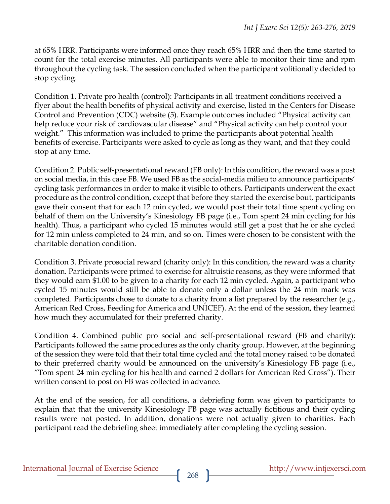at 65% HRR. Participants were informed once they reach 65% HRR and then the time started to count for the total exercise minutes. All participants were able to monitor their time and rpm throughout the cycling task. The session concluded when the participant volitionally decided to stop cycling.

Condition 1. Private pro health (control): Participants in all treatment conditions received a flyer about the health benefits of physical activity and exercise, listed in the Centers for Disease Control and Prevention (CDC) website (5). Example outcomes included "Physical activity can help reduce your risk of cardiovascular disease" and "Physical activity can help control your weight." This information was included to prime the participants about potential health benefits of exercise. Participants were asked to cycle as long as they want, and that they could stop at any time.

Condition 2. Public self-presentational reward (FB only): In this condition, the reward was a post on social media, in this case FB. We used FB as the social-media milieu to announce participants' cycling task performances in order to make it visible to others. Participants underwent the exact procedure as the control condition, except that before they started the exercise bout, participants gave their consent that for each 12 min cycled, we would post their total time spent cycling on behalf of them on the University's Kinesiology FB page (i.e., Tom spent 24 min cycling for his health). Thus, a participant who cycled 15 minutes would still get a post that he or she cycled for 12 min unless completed to 24 min, and so on. Times were chosen to be consistent with the charitable donation condition.

Condition 3. Private prosocial reward (charity only): In this condition, the reward was a charity donation. Participants were primed to exercise for altruistic reasons, as they were informed that they would earn \$1.00 to be given to a charity for each 12 min cycled. Again, a participant who cycled 15 minutes would still be able to donate only a dollar unless the 24 min mark was completed. Participants chose to donate to a charity from a list prepared by the researcher (e.g., American Red Cross, Feeding for America and UNICEF). At the end of the session, they learned how much they accumulated for their preferred charity.

Condition 4. Combined public pro social and self-presentational reward (FB and charity): Participants followed the same procedures as the only charity group. However, at the beginning of the session they were told that their total time cycled and the total money raised to be donated to their preferred charity would be announced on the university's Kinesiology FB page (i.e., "Tom spent 24 min cycling for his health and earned 2 dollars for American Red Cross"). Their written consent to post on FB was collected in advance.

At the end of the session, for all conditions, a debriefing form was given to participants to explain that that the university Kinesiology FB page was actually fictitious and their cycling results were not posted. In addition, donations were not actually given to charities. Each participant read the debriefing sheet immediately after completing the cycling session.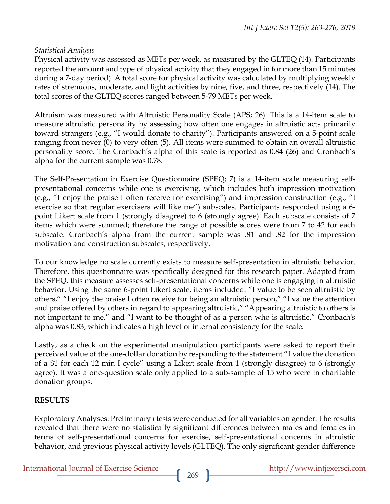### *Statistical Analysis*

Physical activity was assessed as METs per week, as measured by the GLTEQ (14). Participants reported the amount and type of physical activity that they engaged in for more than 15 minutes during a 7-day period). A total score for physical activity was calculated by multiplying weekly rates of strenuous, moderate, and light activities by nine, five, and three, respectively (14). The total scores of the GLTEQ scores ranged between 5-79 METs per week.

Altruism was measured with Altruistic Personality Scale (APS; 26). This is a 14-item scale to measure altruistic personality by assessing how often one engages in altruistic acts primarily toward strangers (e.g., "I would donate to charity"). Participants answered on a 5-point scale ranging from never (0) to very often (5). All items were summed to obtain an overall altruistic personality score. The Cronbach's alpha of this scale is reported as 0.84 (26) and Cronbach's alpha for the current sample was 0.78.

The Self-Presentation in Exercise Questionnaire (SPEQ; 7) is a 14-item scale measuring selfpresentational concerns while one is exercising, which includes both impression motivation (e.g., "I enjoy the praise I often receive for exercising") and impression construction (e.g., "I exercise so that regular exercisers will like me") subscales. Participants responded using a 6 point Likert scale from 1 (strongly disagree) to 6 (strongly agree). Each subscale consists of 7 items which were summed; therefore the range of possible scores were from 7 to 42 for each subscale. Cronbach's alpha from the current sample was .81 and .82 for the impression motivation and construction subscales, respectively.

To our knowledge no scale currently exists to measure self-presentation in altruistic behavior. Therefore, this questionnaire was specifically designed for this research paper. Adapted from the SPEQ, this measure assesses self-presentational concerns while one is engaging in altruistic behavior. Using the same 6-point Likert scale, items included: "I value to be seen altruistic by others," "I enjoy the praise I often receive for being an altruistic person," "I value the attention and praise offered by others in regard to appearing altruistic," "Appearing altruistic to others is not important to me," and "I want to be thought of as a person who is altruistic." Cronbach's alpha was 0.83, which indicates a high level of internal consistency for the scale.

Lastly, as a check on the experimental manipulation participants were asked to report their perceived value of the one-dollar donation by responding to the statement "I value the donation of a \$1 for each 12 min I cycle" using a Likert scale from 1 (strongly disagree) to 6 (strongly agree). It was a one-question scale only applied to a sub-sample of 15 who were in charitable donation groups.

## **RESULTS**

Exploratory Analyses: Preliminary *t* tests were conducted for all variables on gender. The results revealed that there were no statistically significant differences between males and females in terms of self-presentational concerns for exercise, self-presentational concerns in altruistic behavior, and previous physical activity levels (GLTEQ). The only significant gender difference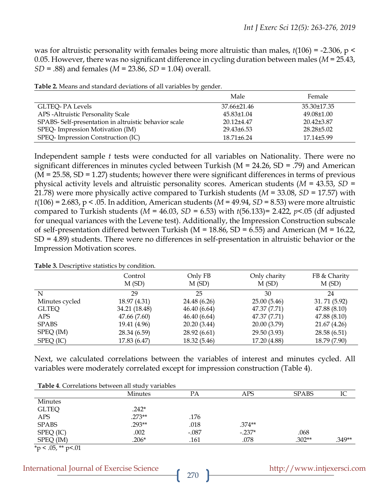was for altruistic personality with females being more altruistic than males, *t*(106) = -2.306, p < 0.05. However, there was no significant difference in cycling duration between males (*M* = 25.43, *SD* = .88) and females (*M* = 23.86, *SD* = 1.04) overall.

|                                                      | Male                    | Female           |
|------------------------------------------------------|-------------------------|------------------|
| GLTEQ- PA Levels                                     | 37.66±21.46             | 35.30±17.35      |
| APS - Altruistic Personality Scale                   | $45.83 \pm 1.04$        | $49.08\pm1.00$   |
| SPABS-Self-presentation in altruistic behavior scale | $20.12 + 4.47$          | $20.42\pm3.87$   |
| SPEQ- Impression Motivation (IM)                     | 29.43 <sup>+6</sup> .53 | $28.28 \pm 5.02$ |
| SPEQ-Impression Construction (IC)                    | $18.71 \pm 6.24$        | 17.14±5.99       |

Independent sample *t* tests were conducted for all variables on Nationality. There were no significant differences in minutes cycled between Turkish (M = 24.26, SD = .79) and American  $(M = 25.58, SD = 1.27)$  students; however there were significant differences in terms of previous physical activity levels and altruistic personality scores. American students (*M* = 43.53, *SD* = 21.78) were more physically active compared to Turkish students (*M* = 33.08, *SD* = 17.57) with *t*(106) = 2.683, p < .05. In addition, American students (*M* = 49.94, *SD* = 8.53) were more altruistic compared to Turkish students (*M* = 46.03, *SD* = 6.53) with *t*(56.133)= 2.422, *p*<.05 (df adjusted for unequal variances with the Levene test). Additionally, the Impression Construction subscale of self-presentation differed between Turkish ( $M = 18.86$ , SD = 6.55) and American ( $M = 16.22$ , SD = 4.89) students. There were no differences in self-presentation in altruistic behavior or the Impression Motivation scores.

|                | Control<br>M(SD) | Only FB<br>M(SD) | Only charity<br>M(SD) | FB & Charity<br>M(SD) |
|----------------|------------------|------------------|-----------------------|-----------------------|
| N              | 29               | 25               | 30                    | 24                    |
| Minutes cycled | 18.97 (4.31)     | 24.48 (6.26)     | 25.00(5.46)           | 31.71 (5.92)          |
| <b>GLTEQ</b>   | 34.21 (18.48)    | 46.40(6.64)      | 47.37 (7.71)          | 47.88 (8.10)          |
| APS.           | 47.66 (7.60)     | 46.40(6.64)      | 47.37 (7.71)          | 47.88 (8.10)          |
| <b>SPABS</b>   | 19.41 (4.96)     | 20.20 (3.44)     | 20.00 (3.79)          | 21.67 (4.26)          |
| SPEQ (IM)      | 28.34 (6.59)     | 28.92 (6.61)     | 29.50 (3.93)          | 28.58 (6.51)          |
| SPEQ (IC)      | 17.83 (6.47)     | 18.32 (5.46)     | 17.20 (4.88)          | 18.79 (7.90)          |

**Table 3.** Descriptive statistics by condition.

Next, we calculated correlations between the variables of interest and minutes cycled. All variables were moderately correlated except for impression construction (Table 4).

| Table 4. Correlations between all study variables |          |         |          |              |          |
|---------------------------------------------------|----------|---------|----------|--------------|----------|
|                                                   | Minutes  | РA      | APS      | <b>SPABS</b> | IC       |
| <b>Minutes</b>                                    |          |         |          |              |          |
| <b>GLTEQ</b>                                      | $.242*$  |         |          |              |          |
| APS                                               | $.273**$ | .176    |          |              |          |
| <b>SPABS</b>                                      | $.293**$ | .018    | $.374**$ |              |          |
| SPEQ (IC)                                         | .002     | $-.087$ | $-.237*$ | .068         |          |
| SPEQ (IM)                                         | $.206*$  | .161    | .078     | $.302**$     | $.349**$ |
| * $p < .05$ , ** $p < .01$                        |          |         |          |              |          |

| International Journal of Exercise Science |  |  |  |
|-------------------------------------------|--|--|--|
|-------------------------------------------|--|--|--|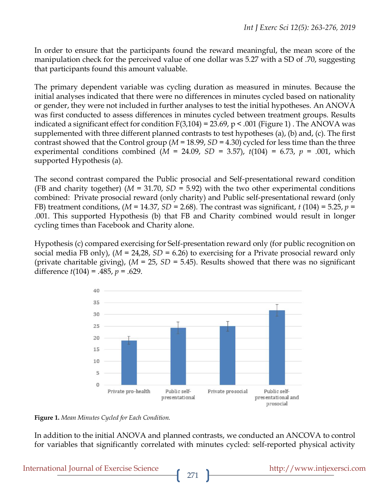In order to ensure that the participants found the reward meaningful, the mean score of the manipulation check for the perceived value of one dollar was 5.27 with a SD of .70, suggesting that participants found this amount valuable.

The primary dependent variable was cycling duration as measured in minutes. Because the initial analyses indicated that there were no differences in minutes cycled based on nationality or gender, they were not included in further analyses to test the initial hypotheses. An ANOVA was first conducted to assess differences in minutes cycled between treatment groups. Results indicated a significant effect for condition  $F(3,104) = 23.69$ ,  $p < .001$  (Figure 1). The ANOVA was supplemented with three different planned contrasts to test hypotheses (a), (b) and, (c). The first contrast showed that the Control group (*M* = 18.99, *SD* = 4.30) cycled for less time than the three experimental conditions combined  $(M = 24.09, SD = 3.57)$ ,  $t(104) = 6.73$ ,  $p = .001$ , which supported Hypothesis (a).

The second contrast compared the Public prosocial and Self-presentational reward condition (FB and charity together) ( $M = 31.70$ ,  $SD = 5.92$ ) with the two other experimental conditions combined: Private prosocial reward (only charity) and Public self-presentational reward (only FB) treatment conditions,  $(M = 14.37, SD = 2.68)$ . The contrast was significant,  $t(104) = 5.25, p =$ .001. This supported Hypothesis (b) that FB and Charity combined would result in longer cycling times than Facebook and Charity alone.

Hypothesis (c) compared exercising for Self-presentation reward only (for public recognition on social media FB only), (*M* = 24,28, *SD* = 6.26) to exercising for a Private prosocial reward only (private charitable giving), (*M* = 25, *SD* = 5.45). Results showed that there was no significant difference *t*(104) = .485, *p* = .629.



**Figure 1.** *Mean Minutes Cycled for Each Condition.*

In addition to the initial ANOVA and planned contrasts, we conducted an ANCOVA to control for variables that significantly correlated with minutes cycled: self-reported physical activity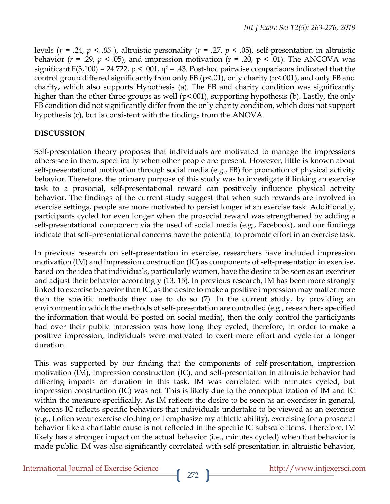levels (*r* = .24, *p < .05* ), altruistic personality (*r* = .27, *p* < .05), self-presentation in altruistic behavior ( $r = .29$ ,  $p < .05$ ), and impression motivation ( $r = .20$ ,  $p < .01$ ). The ANCOVA was significant F(3,100) = 24.722, p < .001,  $\eta$ <sup>2</sup> = .43. Post-hoc pairwise comparisons indicated that the control group differed significantly from only FB ( $p$ <.01), only charity ( $p$ <.001), and only FB and charity, which also supports Hypothesis (a). The FB and charity condition was significantly higher than the other three groups as well ( $p<.001$ ), supporting hypothesis (b). Lastly, the only FB condition did not significantly differ from the only charity condition, which does not support hypothesis (c), but is consistent with the findings from the ANOVA.

# **DISCUSSION**

Self-presentation theory proposes that individuals are motivated to manage the impressions others see in them, specifically when other people are present. However, little is known about self-presentational motivation through social media (e.g., FB) for promotion of physical activity behavior. Therefore, the primary purpose of this study was to investigate if linking an exercise task to a prosocial, self-presentational reward can positively influence physical activity behavior. The findings of the current study suggest that when such rewards are involved in exercise settings, people are more motivated to persist longer at an exercise task. Additionally, participants cycled for even longer when the prosocial reward was strengthened by adding a self-presentational component via the used of social media (e.g., Facebook), and our findings indicate that self-presentational concerns have the potential to promote effort in an exercise task.

In previous research on self-presentation in exercise, researchers have included impression motivation (IM) and impression construction (IC) as components of self-presentation in exercise, based on the idea that individuals, particularly women, have the desire to be seen as an exerciser and adjust their behavior accordingly (13, 15). In previous research, IM has been more strongly linked to exercise behavior than IC, as the desire to make a positive impression may matter more than the specific methods they use to do so (7). In the current study, by providing an environment in which the methods of self-presentation are controlled (e.g., researchers specified the information that would be posted on social media), then the only control the participants had over their public impression was how long they cycled; therefore, in order to make a positive impression, individuals were motivated to exert more effort and cycle for a longer duration.

This was supported by our finding that the components of self-presentation, impression motivation (IM), impression construction (IC), and self-presentation in altruistic behavior had differing impacts on duration in this task. IM was correlated with minutes cycled, but impression construction (IC) was not. This is likely due to the conceptualization of IM and IC within the measure specifically. As IM reflects the desire to be seen as an exerciser in general, whereas IC reflects specific behaviors that individuals undertake to be viewed as an exerciser (e.g., I often wear exercise clothing or I emphasize my athletic ability), exercising for a prosocial behavior like a charitable cause is not reflected in the specific IC subscale items. Therefore, IM likely has a stronger impact on the actual behavior (i.e., minutes cycled) when that behavior is made public. IM was also significantly correlated with self-presentation in altruistic behavior,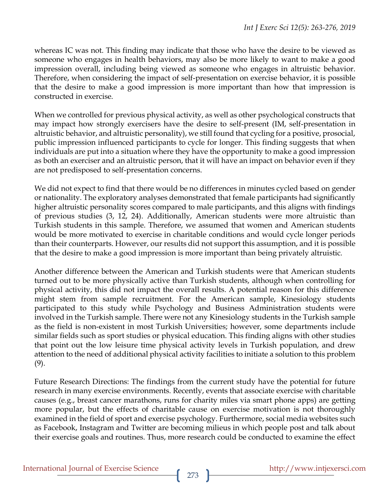whereas IC was not. This finding may indicate that those who have the desire to be viewed as someone who engages in health behaviors, may also be more likely to want to make a good impression overall, including being viewed as someone who engages in altruistic behavior. Therefore, when considering the impact of self-presentation on exercise behavior, it is possible that the desire to make a good impression is more important than how that impression is constructed in exercise.

When we controlled for previous physical activity, as well as other psychological constructs that may impact how strongly exercisers have the desire to self-present (IM, self-presentation in altruistic behavior, and altruistic personality), we still found that cycling for a positive, prosocial, public impression influenced participants to cycle for longer. This finding suggests that when individuals are put into a situation where they have the opportunity to make a good impression as both an exerciser and an altruistic person, that it will have an impact on behavior even if they are not predisposed to self-presentation concerns.

We did not expect to find that there would be no differences in minutes cycled based on gender or nationality. The exploratory analyses demonstrated that female participants had significantly higher altruistic personality scores compared to male participants, and this aligns with findings of previous studies (3, 12, 24). Additionally, American students were more altruistic than Turkish students in this sample. Therefore, we assumed that women and American students would be more motivated to exercise in charitable conditions and would cycle longer periods than their counterparts. However, our results did not support this assumption, and it is possible that the desire to make a good impression is more important than being privately altruistic.

Another difference between the American and Turkish students were that American students turned out to be more physically active than Turkish students, although when controlling for physical activity, this did not impact the overall results. A potential reason for this difference might stem from sample recruitment. For the American sample, Kinesiology students participated to this study while Psychology and Business Administration students were involved in the Turkish sample. There were not any Kinesiology students in the Turkish sample as the field is non-existent in most Turkish Universities; however, some departments include similar fields such as sport studies or physical education. This finding aligns with other studies that point out the low leisure time physical activity levels in Turkish population, and drew attention to the need of additional physical activity facilities to initiate a solution to this problem (9).

Future Research Directions: The findings from the current study have the potential for future research in many exercise environments. Recently, events that associate exercise with charitable causes (e.g., breast cancer marathons, runs for charity miles via smart phone apps) are getting more popular, but the effects of charitable cause on exercise motivation is not thoroughly examined in the field of sport and exercise psychology. Furthermore, social media websites such as Facebook, Instagram and Twitter are becoming milieus in which people post and talk about their exercise goals and routines. Thus, more research could be conducted to examine the effect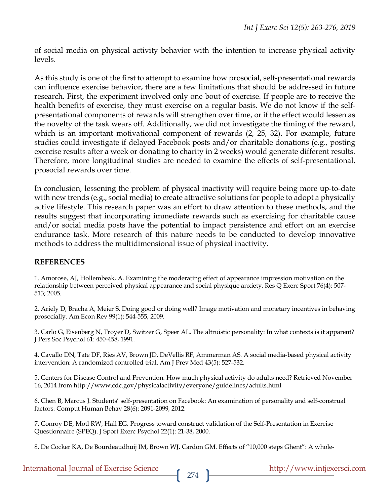of social media on physical activity behavior with the intention to increase physical activity levels.

As this study is one of the first to attempt to examine how prosocial, self-presentational rewards can influence exercise behavior, there are a few limitations that should be addressed in future research. First, the experiment involved only one bout of exercise. If people are to receive the health benefits of exercise, they must exercise on a regular basis. We do not know if the selfpresentational components of rewards will strengthen over time, or if the effect would lessen as the novelty of the task wears off. Additionally, we did not investigate the timing of the reward, which is an important motivational component of rewards (2, 25, 32). For example, future studies could investigate if delayed Facebook posts and/or charitable donations (e.g., posting exercise results after a week or donating to charity in 2 weeks) would generate different results. Therefore, more longitudinal studies are needed to examine the effects of self-presentational, prosocial rewards over time.

In conclusion, lessening the problem of physical inactivity will require being more up-to-date with new trends (e.g., social media) to create attractive solutions for people to adopt a physically active lifestyle. This research paper was an effort to draw attention to these methods, and the results suggest that incorporating immediate rewards such as exercising for charitable cause and/or social media posts have the potential to impact persistence and effort on an exercise endurance task. More research of this nature needs to be conducted to develop innovative methods to address the multidimensional issue of physical inactivity.

### **REFERENCES**

1. Amorose, AJ, Hollembeak, A. Examining the moderating effect of appearance impression motivation on the relationship between perceived physical appearance and social physique anxiety. Res Q Exerc Sport 76(4): 507- 513; 2005.

2. Ariely D, Bracha A, Meier S. Doing good or doing well? Image motivation and monetary incentives in behaving prosocially. Am Econ Rev 99(1): 544-555, 2009.

3. Carlo G, Eisenberg N, Troyer D, Switzer G, Speer AL. The altruistic personality: In what contexts is it apparent? J Pers Soc Psychol 61: 450-458, 1991.

4. Cavallo DN, Tate DF, Ries AV, Brown JD, DeVellis RF, Ammerman AS. A social media-based physical activity intervention: A randomized controlled trial. Am J Prev Med 43(5): 527-532.

5. Centers for Disease Control and Prevention. How much physical activity do adults need? Retrieved November 16, 2014 from http://www.cdc.gov/physicalactivity/everyone/guidelines/adults.html

6. Chen B, Marcus J. Students' self-presentation on Facebook: An examination of personality and self-construal factors. Comput Human Behav 28(6): 2091-2099, 2012.

7. Conroy DE, Motl RW, Hall EG. Progress toward construct validation of the Self-Presentation in Exercise Questionnaire (SPEQ). J Sport Exerc Psychol 22(1): 21-38, 2000.

8. De Cocker KA, De Bourdeaudhuij IM, Brown WJ, Cardon GM. Effects of "10,000 steps Ghent": A whole-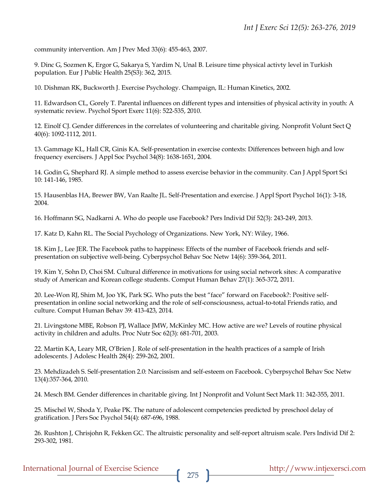community intervention. Am J Prev Med 33(6): 455-463, 2007.

9. Dinc G, Sozmen K, Ergor G, Sakarya S, Yardim N, Unal B. Leisure time physical activty level in Turkish population. Eur J Public Health 25(S3): 362, 2015.

10. Dishman RK, Buckworth J. Exercise Psychology. Champaign, IL: Human Kinetics, 2002.

11. Edwardson CL, Gorely T. Parental influences on different types and intensities of physical activity in youth: A systematic review. Psychol Sport Exerc 11(6): 522-535, 2010.

12. Einolf CJ. Gender differences in the correlates of volunteering and charitable giving. Nonprofit Volunt Sect Q 40(6): 1092-1112, 2011.

13. Gammage KL, Hall CR, Ginis KA. Self-presentation in exercise contexts: Differences between high and low frequency exercisers. J Appl Soc Psychol 34(8): 1638-1651, 2004.

14. Godin G, Shephard RJ. A simple method to assess exercise behavior in the community. Can J Appl Sport Sci 10: 141-146, 1985.

15. Hausenblas HA, Brewer BW, Van Raalte JL. Self-Presentation and exercise. J Appl Sport Psychol 16(1): 3-18, 2004.

16. Hoffmann SG, Nadkarni A. Who do people use Facebook? Pers Individ Dif 52(3): 243-249, 2013.

17. Katz D, Kahn RL. The Social Psychology of Organizations. New York, NY: Wiley, 1966.

18. Kim J., Lee JER. The Facebook paths to happiness: Effects of the number of Facebook friends and selfpresentation on subjective well-being. Cyberpsychol Behav Soc Netw 14(6): 359-364, 2011.

19. Kim Y, Sohn D, Choi SM. Cultural difference in motivations for using social network sites: A comparative study of American and Korean college students. Comput Human Behav 27(1): 365-372, 2011.

20. Lee-Won RJ, Shim M, Joo YK, Park SG. Who puts the best "face" forward on Facebook?: Positive selfpresentation in online social networking and the role of self-consciousness, actual-to-total Friends ratio, and culture. Comput Human Behav 39: 413-423, 2014.

21. Livingstone MBE, Robson PJ, Wallace JMW, McKinley MC. How active are we? Levels of routine physical activity in children and adults. Proc Nutr Soc 62(3): 681-701, 2003.

22. Martin KA, Leary MR, O'Brien J. Role of self-presentation in the health practices of a sample of Irish adolescents. J Adolesc Health 28(4): 259-262, 2001.

23. Mehdizadeh S. Self-presentation 2.0: Narcissism and self-esteem on Facebook. Cyberpsychol Behav Soc Netw 13(4):357-364, 2010.

24. Mesch BM. Gender differences in charitable giving. Int J Nonprofit and Volunt Sect Mark 11: 342-355, 2011.

25. Mischel W, Shoda Y, Peake PK. The nature of adolescent competencies predicted by preschool delay of gratification. J Pers Soc Psychol 54(4): 687-696, 1988.

26. Rushton J, Chrisjohn R, Fekken GC. The altruistic personality and self-report altruism scale. Pers Individ Dif 2: 293-302, 1981.